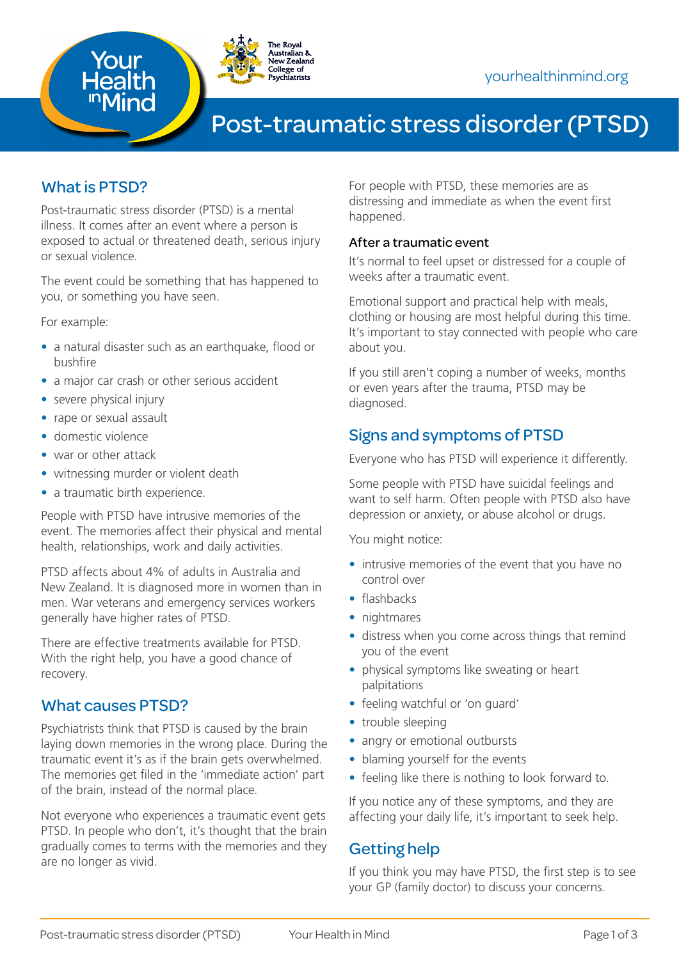

# Post-traumatic stress disorder (PTSD)

# What is PTSD?

Post-traumatic stress disorder (PTSD) is a mental illness. It comes after an event where a person is exposed to actual or threatened death, serious injury or sexual violence.

The event could be something that has happened to you, or something you have seen.

For example:

- a natural disaster such as an earthquake, flood or bushfire
- a major car crash or other serious accident
- severe physical injury
- rape or sexual assault
- domestic violence
- war or other attack
- witnessing murder or violent death
- a traumatic birth experience.

People with PTSD have intrusive memories of the event. The memories affect their physical and mental health, relationships, work and daily activities.

PTSD affects about 4% of adults in Australia and New Zealand. It is diagnosed more in women than in men. War veterans and emergency services workers generally have higher rates of PTSD.

There are effective treatments available for PTSD. With the right help, you have a good chance of recovery.

### What causes PTSD?

Psychiatrists think that PTSD is caused by the brain laying down memories in the wrong place. During the traumatic event it's as if the brain gets overwhelmed. The memories get filed in the 'immediate action' part of the brain, instead of the normal place.

Not everyone who experiences a traumatic event gets PTSD. In people who don't, it's thought that the brain gradually comes to terms with the memories and they are no longer as vivid.

For people with PTSD, these memories are as distressing and immediate as when the event first happened.

#### After a traumatic event

It's normal to feel upset or distressed for a couple of weeks after a traumatic event.

Emotional support and practical help with meals, clothing or housing are most helpful during this time. It's important to stay connected with people who care about you.

If you still aren't coping a number of weeks, months or even years after the trauma, PTSD may be diagnosed.

### Signs and symptoms of PTSD

Everyone who has PTSD will experience it differently.

Some people with PTSD have suicidal feelings and want to self harm. Often people with PTSD also have depression or anxiety, or abuse alcohol or drugs.

You might notice:

- intrusive memories of the event that you have no control over
- flashbacks
- nightmares
- distress when you come across things that remind you of the event
- physical symptoms like sweating or heart palpitations
- feeling watchful or 'on guard'
- trouble sleeping
- angry or emotional outbursts
- blaming yourself for the events
- feeling like there is nothing to look forward to.

If you notice any of these symptoms, and they are affecting your daily life, it's important to seek help.

### Getting help

If you think you may have PTSD, the first step is to see your GP (family doctor) to discuss your concerns.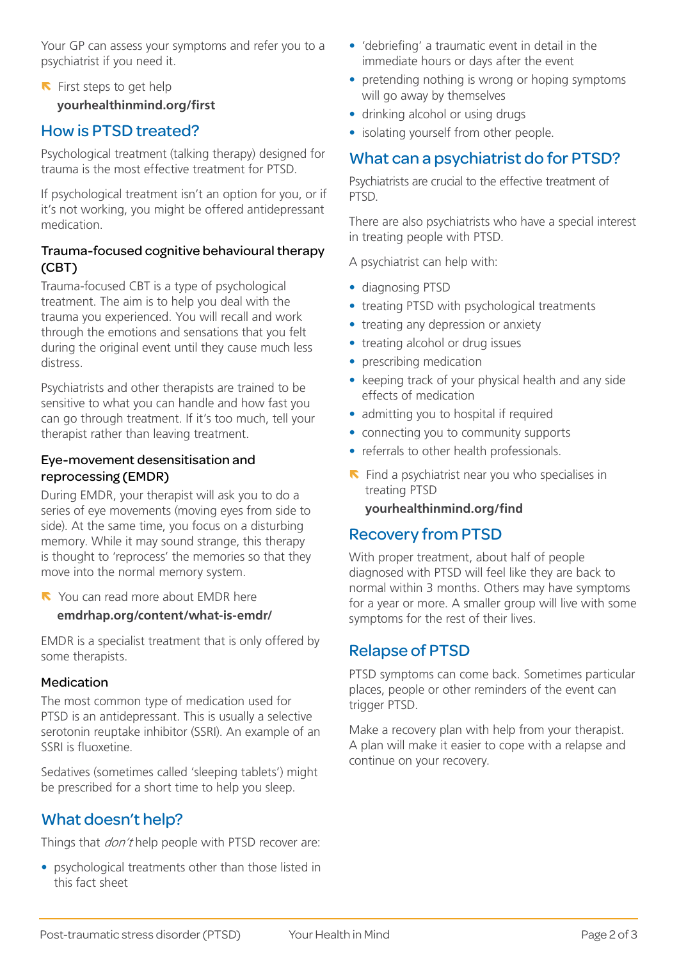Your GP can assess your symptoms and refer you to a psychiatrist if you need it.

### $\blacksquare$  First steps to get help **[yourhealthinmind.org/fi](http://yourhealthinmind.org/first)rst**

# How is PTSD treated?

Psychological treatment (talking therapy) designed for trauma is the most effective treatment for PTSD.

If psychological treatment isn't an option for you, or if it's not working, you might be offered antidepressant medication.

#### Trauma-focused cognitive behavioural therapy (CBT)

Trauma-focused CBT is a type of psychological treatment. The aim is to help you deal with the trauma you experienced. You will recall and work through the emotions and sensations that you felt during the original event until they cause much less distress.

Psychiatrists and other therapists are trained to be sensitive to what you can handle and how fast you can go through treatment. If it's too much, tell your therapist rather than leaving treatment.

#### Eye-movement desensitisation and reprocessing (EMDR)

During EMDR, your therapist will ask you to do a series of eye movements (moving eyes from side to side). At the same time, you focus on a disturbing memory. While it may sound strange, this therapy is thought to 'reprocess' the memories so that they move into the normal memory system.

N You can read more about EMDR here **[emdrhap.org/content/what-is-emdr/]( http://www.emdrhap.org/content/what-is-emdr/)**

EMDR is a specialist treatment that is only offered by some therapists.

#### Medication

The most common type of medication used for PTSD is an antidepressant. This is usually a selective serotonin reuptake inhibitor (SSRI). An example of an SSRI is fluoxetine.

Sedatives (sometimes called 'sleeping tablets') might be prescribed for a short time to help you sleep.

# What doesn't help?

Things that *don't* help people with PTSD recover are:

• psychological treatments other than those listed in this fact sheet

- 'debriefing' a traumatic event in detail in the immediate hours or days after the event
- pretending nothing is wrong or hoping symptoms will go away by themselves
- drinking alcohol or using drugs
- isolating yourself from other people.

# What can a psychiatrist do for PTSD?

Psychiatrists are crucial to the effective treatment of PTSD.

There are also psychiatrists who have a special interest in treating people with PTSD.

A psychiatrist can help with:

- diagnosing PTSD
- treating PTSD with psychological treatments
- treating any depression or anxiety
- treating alcohol or drug issues
- prescribing medication
- keeping track of your physical health and any side effects of medication
- admitting you to hospital if required
- connecting you to community supports
- referrals to other health professionals.
- $\blacksquare$  Find a psychiatrist near you who specialises in treating PTSD

#### **[yourhealthinmind.org/fi](http://yourhealthinmind.org/find)nd**

### Recovery from PTSD

With proper treatment, about half of people diagnosed with PTSD will feel like they are back to normal within 3 months. Others may have symptoms for a year or more. A smaller group will live with some symptoms for the rest of their lives.

### Relapse of PTSD

PTSD symptoms can come back. Sometimes particular places, people or other reminders of the event can trigger PTSD.

Make a recovery plan with help from your therapist. A plan will make it easier to cope with a relapse and continue on your recovery.